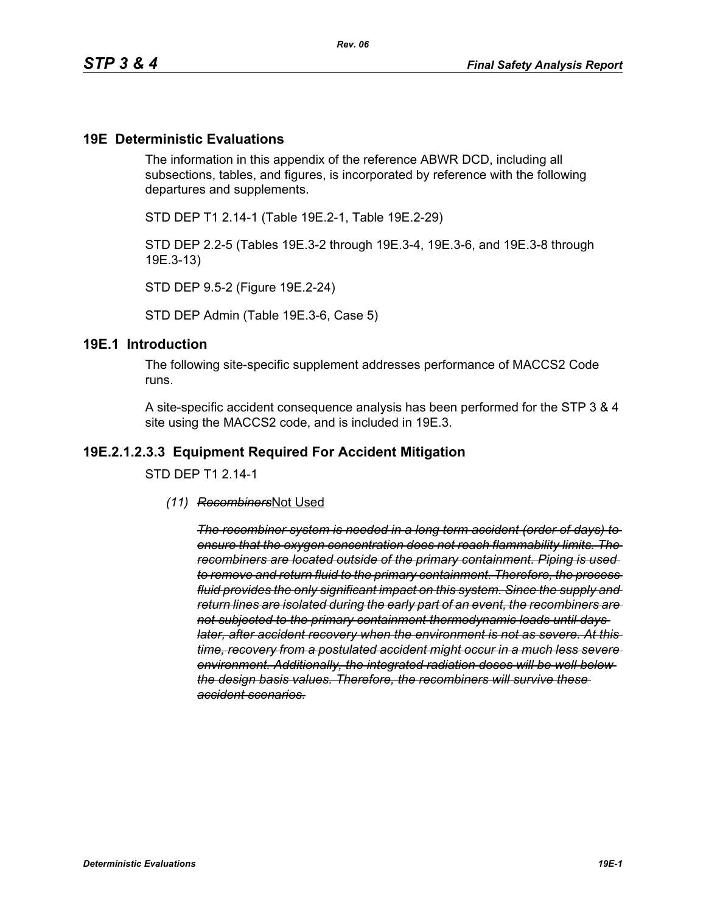#### **19E Deterministic Evaluations**

The information in this appendix of the reference ABWR DCD, including all subsections, tables, and figures, is incorporated by reference with the following departures and supplements.

STD DEP T1 2.14-1 (Table 19E.2-1, Table 19E.2-29)

STD DEP 2.2-5 (Tables 19E.3-2 through 19E.3-4, 19E.3-6, and 19E.3-8 through 19E.3-13)

STD DEP 9.5-2 (Figure 19E.2-24)

STD DEP Admin (Table 19E.3-6, Case 5)

#### **19E.1 Introduction**

The following site-specific supplement addresses performance of MACCS2 Code runs.

A site-specific accident consequence analysis has been performed for the STP 3 & 4 site using the MACCS2 code, and is included in 19E.3.

#### **19E.2.1.2.3.3 Equipment Required For Accident Mitigation**

STD DEP T1 2.14-1

*(11) Recombiners*Not Used

*The recombiner system is needed in a long term accident (order of days) to ensure that the oxygen concentration does not reach flammability limits. The recombiners are located outside of the primary containment. Piping is used to remove and return fluid to the primary containment. Therefore, the process fluid provides the only significant impact on this system. Since the supply and return lines are isolated during the early part of an event, the recombiners are not subjected to the primary containment thermodynamic loads until days later, after accident recovery when the environment is not as severe. At this time, recovery from a postulated accident might occur in a much less severe environment. Additionally, the integrated radiation doses will be well below the design basis values. Therefore, the recombiners will survive these accident scenarios.*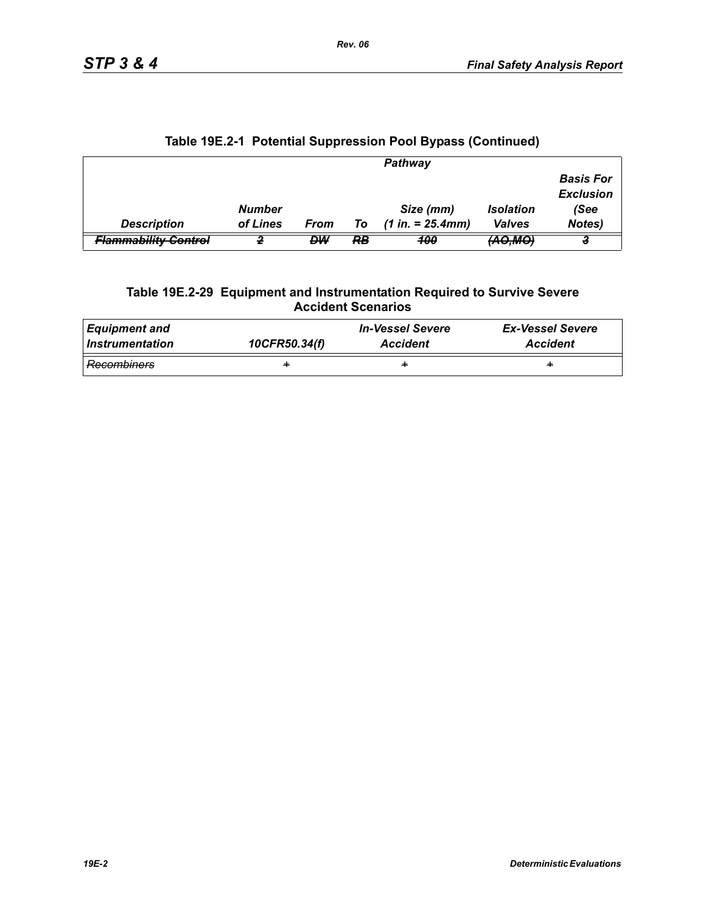|                                 |               |      |    | Pathway             |                     |                                      |
|---------------------------------|---------------|------|----|---------------------|---------------------|--------------------------------------|
|                                 |               |      |    |                     |                     | <b>Basis For</b><br><b>Exclusion</b> |
|                                 | <b>Number</b> |      |    | Size (mm)           | <b>Isolation</b>    | (See                                 |
| <b>Description</b>              | of Lines      | From | To | $(1 in. = 25.4 mm)$ | <b>Valves</b>       | Notes)                               |
| <del>Flammability Control</del> |               | DW   | RB | 100                 | <del>(AO,MO</del> ) |                                      |

# **Table 19E.2-1 Potential Suppression Pool Bypass (Continued)**

#### **Table 19E.2-29 Equipment and Instrumentation Required to Survive Severe Accident Scenarios**

| <b>Equipment and</b> | 10CFR50.34(f) | <b>In-Vessel Severe</b> | <b>Ex-Vessel Severe</b> |
|----------------------|---------------|-------------------------|-------------------------|
| Instrumentation      |               | <b>Accident</b>         | <b>Accident</b>         |
| Recombiners          | ÷             | ÷                       | ÷                       |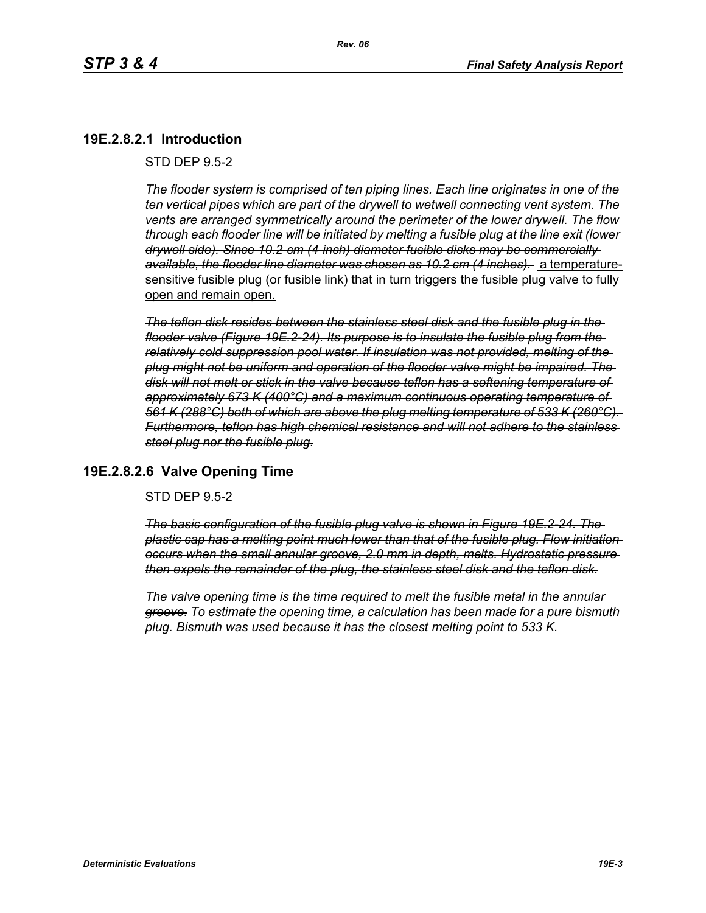# **19E.2.8.2.1 Introduction**

STD DEP 9.5-2

*The flooder system is comprised of ten piping lines. Each line originates in one of the ten vertical pipes which are part of the drywell to wetwell connecting vent system. The vents are arranged symmetrically around the perimeter of the lower drywell. The flow through each flooder line will be initiated by melting a fusible plug at the line exit (lower drywell side). Since 10.2-cm (4-inch) diameter fusible disks may be commercially available, the flooder line diameter was chosen as 10.2 cm (4 inches).* a temperaturesensitive fusible plug (or fusible link) that in turn triggers the fusible plug valve to fully open and remain open.

*The teflon disk resides between the stainless steel disk and the fusible plug in the flooder valve (Figure 19E.2-24). Its purpose is to insulate the fusible plug from the relatively cold suppression pool water. If insulation was not provided, melting of the plug might not be uniform and operation of the flooder valve might be impaired. The disk will not melt or stick in the valve because teflon has a softening temperature of approximately 673 K (400°C) and a maximum continuous operating temperature of 561 K (288°C) both of which are above the plug melting temperature of 533 K (260°C). Furthermore, teflon has high chemical resistance and will not adhere to the stainless steel plug nor the fusible plug.*

### **19E.2.8.2.6 Valve Opening Time**

STD DEP 9.5-2

*The basic configuration of the fusible plug valve is shown in Figure 19E.2-24. The plastic cap has a melting point much lower than that of the fusible plug. Flow initiation occurs when the small annular groove, 2.0 mm in depth, melts. Hydrostatic pressure then expels the remainder of the plug, the stainless steel disk and the teflon disk.*

*The valve opening time is the time required to melt the fusible metal in the annular groove. To estimate the opening time, a calculation has been made for a pure bismuth plug. Bismuth was used because it has the closest melting point to 533 K.*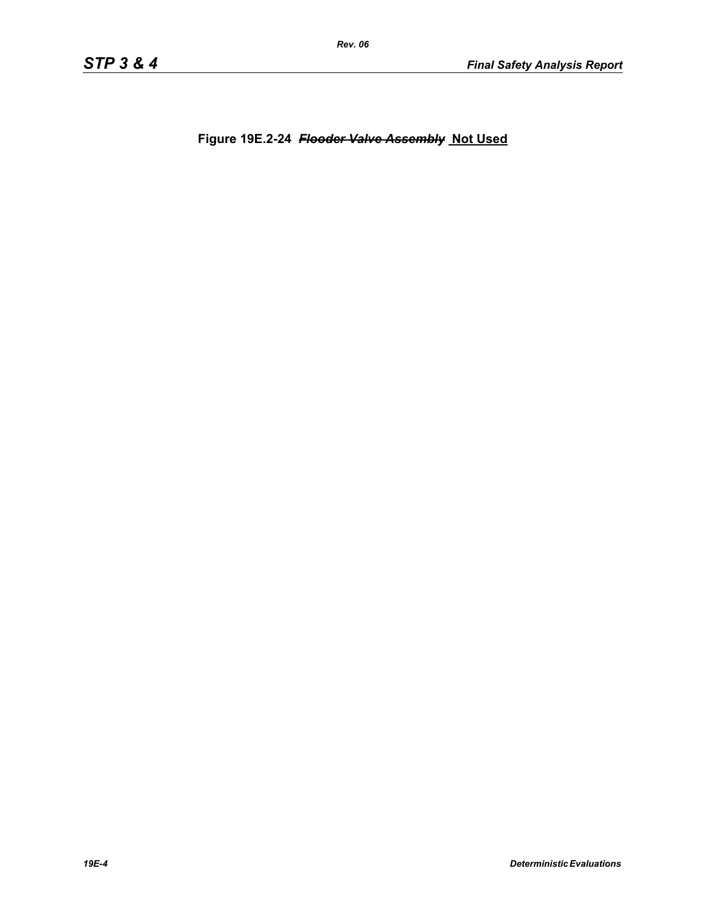**Figure 19E.2-24** *Flooder Valve Assembly* **Not Used**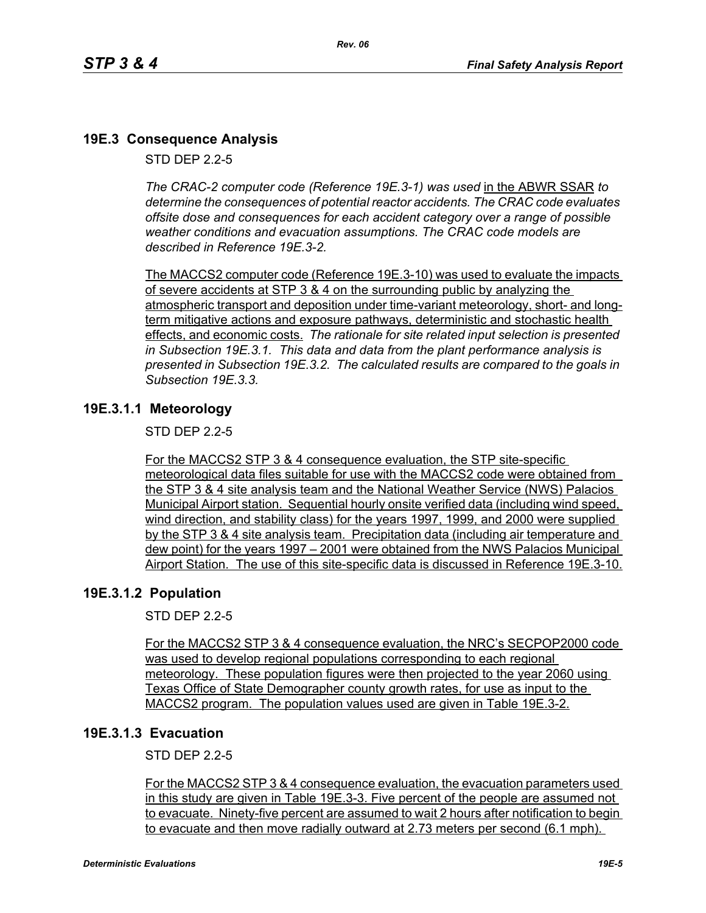# **19E.3 Consequence Analysis**

STD DEP 2.2-5

*The CRAC-2 computer code (Reference 19E.3-1) was used* in the ABWR SSAR *to determine the consequences of potential reactor accidents. The CRAC code evaluates offsite dose and consequences for each accident category over a range of possible weather conditions and evacuation assumptions. The CRAC code models are described in Reference 19E.3-2.* 

The MACCS2 computer code (Reference 19E.3-10) was used to evaluate the impacts of severe accidents at STP 3 & 4 on the surrounding public by analyzing the atmospheric transport and deposition under time-variant meteorology, short- and longterm mitigative actions and exposure pathways, deterministic and stochastic health effects, and economic costs. *The rationale for site related input selection is presented in Subsection 19E.3.1. This data and data from the plant performance analysis is presented in Subsection 19E.3.2. The calculated results are compared to the goals in Subsection 19E.3.3.*

### **19E.3.1.1 Meteorology**

STD DEP 2.2-5

For the MACCS2 STP 3 & 4 consequence evaluation, the STP site-specific meteorological data files suitable for use with the MACCS2 code were obtained from the STP 3 & 4 site analysis team and the National Weather Service (NWS) Palacios Municipal Airport station. Sequential hourly onsite verified data (including wind speed, wind direction, and stability class) for the years 1997, 1999, and 2000 were supplied by the STP 3 & 4 site analysis team. Precipitation data (including air temperature and dew point) for the years 1997 – 2001 were obtained from the NWS Palacios Municipal Airport Station. The use of this site-specific data is discussed in Reference 19E.3-10.

### **19E.3.1.2 Population**

STD DEP 2.2-5

For the MACCS2 STP 3 & 4 consequence evaluation, the NRC's SECPOP2000 code was used to develop regional populations corresponding to each regional meteorology. These population figures were then projected to the year 2060 using Texas Office of State Demographer county growth rates, for use as input to the MACCS2 program. The population values used are given in Table 19E.3-2.

### **19E.3.1.3 Evacuation**

STD DEP 2.2-5

For the MACCS2 STP 3 & 4 consequence evaluation, the evacuation parameters used in this study are given in Table 19E.3-3. Five percent of the people are assumed not to evacuate. Ninety-five percent are assumed to wait 2 hours after notification to begin to evacuate and then move radially outward at 2.73 meters per second (6.1 mph).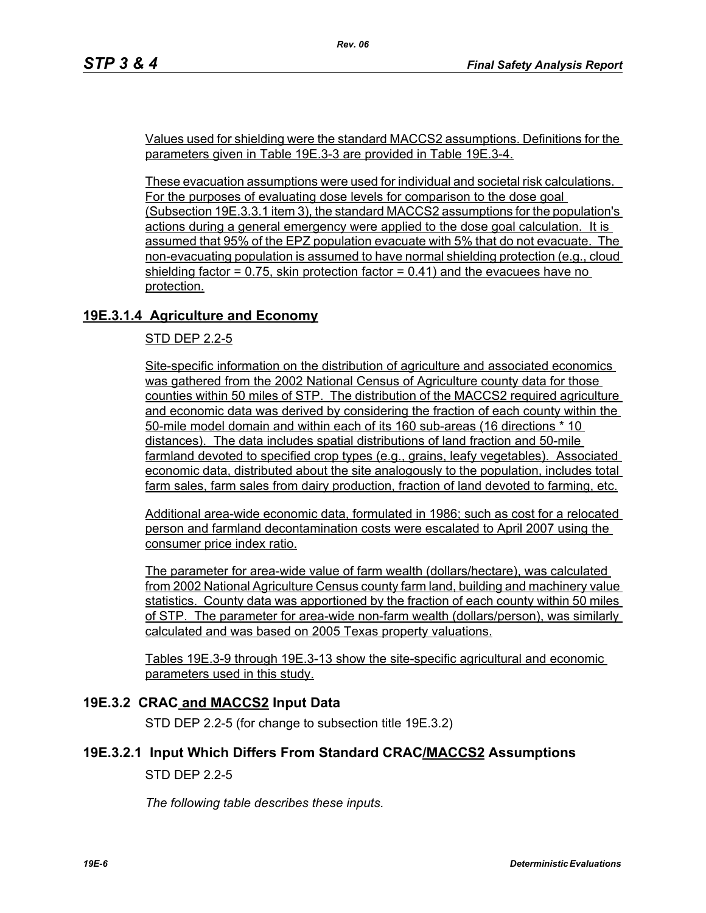Values used for shielding were the standard MACCS2 assumptions. Definitions for the parameters given in Table 19E.3-3 are provided in Table 19E.3-4.

*Rev. 06*

These evacuation assumptions were used for individual and societal risk calculations. For the purposes of evaluating dose levels for comparison to the dose goal (Subsection 19E.3.3.1 item 3), the standard MACCS2 assumptions for the population's actions during a general emergency were applied to the dose goal calculation. It is assumed that 95% of the EPZ population evacuate with 5% that do not evacuate. The non-evacuating population is assumed to have normal shielding protection (e.g., cloud shielding factor  $= 0.75$ , skin protection factor  $= 0.41$ ) and the evacuees have no protection.

# **19E.3.1.4 Agriculture and Economy**

STD DEP 2.2-5

Site-specific information on the distribution of agriculture and associated economics was gathered from the 2002 National Census of Agriculture county data for those counties within 50 miles of STP. The distribution of the MACCS2 required agriculture and economic data was derived by considering the fraction of each county within the 50-mile model domain and within each of its 160 sub-areas (16 directions \* 10 distances). The data includes spatial distributions of land fraction and 50-mile farmland devoted to specified crop types (e.g., grains, leafy vegetables). Associated economic data, distributed about the site analogously to the population, includes total farm sales, farm sales from dairy production, fraction of land devoted to farming, etc.

Additional area-wide economic data, formulated in 1986; such as cost for a relocated person and farmland decontamination costs were escalated to April 2007 using the consumer price index ratio.

The parameter for area-wide value of farm wealth (dollars/hectare), was calculated from 2002 National Agriculture Census county farm land, building and machinery value statistics. County data was apportioned by the fraction of each county within 50 miles of STP. The parameter for area-wide non-farm wealth (dollars/person), was similarly calculated and was based on 2005 Texas property valuations.

Tables 19E.3-9 through 19E.3-13 show the site-specific agricultural and economic parameters used in this study.

### **19E.3.2 CRAC and MACCS2 Input Data**

STD DEP 2.2-5 (for change to subsection title 19E.3.2)

### **19E.3.2.1 Input Which Differs From Standard CRAC/MACCS2 Assumptions**

STD DEP 2.2-5

*The following table describes these inputs.*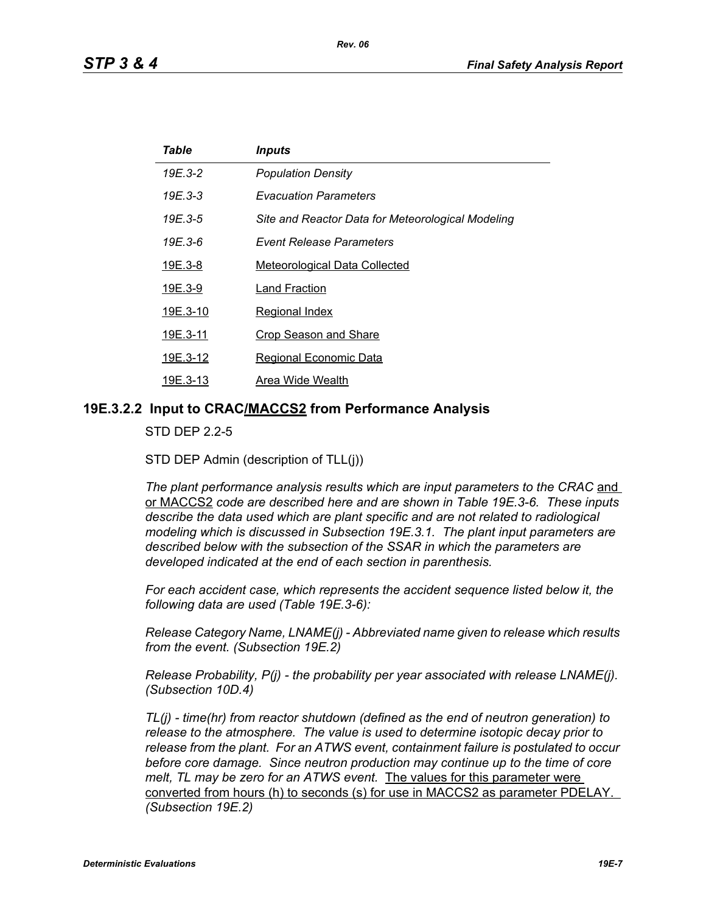| Table    | <i><b>Inputs</b></i>                              |
|----------|---------------------------------------------------|
| 19E.3-2  | <b>Population Density</b>                         |
| 19E.3-3  | <b>Evacuation Parameters</b>                      |
| 19E.3-5  | Site and Reactor Data for Meteorological Modeling |
| 19E.3-6  | <b>Event Release Parameters</b>                   |
| 19E.3-8  | <b>Meteorological Data Collected</b>              |
| 19E.3-9  | Land Fraction                                     |
| 19E.3-10 | <b>Regional Index</b>                             |
| 19E.3-11 | <b>Crop Season and Share</b>                      |
| 19E.3-12 | <b>Regional Economic Data</b>                     |
| 19E.3-13 | Area Wide Wealth                                  |

#### **19E.3.2.2 Input to CRAC/MACCS2 from Performance Analysis**

STD DEP 2.2-5

STD DEP Admin (description of TLL(j))

The plant performance analysis results which are input parameters to the CRAC and or MACCS2 *code are described here and are shown in Table 19E.3-6. These inputs describe the data used which are plant specific and are not related to radiological modeling which is discussed in Subsection 19E.3.1. The plant input parameters are described below with the subsection of the SSAR in which the parameters are developed indicated at the end of each section in parenthesis.*

*For each accident case, which represents the accident sequence listed below it, the following data are used (Table 19E.3-6):*

*Release Category Name, LNAME(j) - Abbreviated name given to release which results from the event. (Subsection 19E.2)*

*Release Probability, P(j) - the probability per year associated with release LNAME(j). (Subsection 10D.4)*

*TL(j) - time(hr) from reactor shutdown (defined as the end of neutron generation) to release to the atmosphere. The value is used to determine isotopic decay prior to release from the plant. For an ATWS event, containment failure is postulated to occur before core damage. Since neutron production may continue up to the time of core melt, TL may be zero for an ATWS event.* The values for this parameter were converted from hours (h) to seconds (s) for use in MACCS2 as parameter PDELAY. *(Subsection 19E.2)*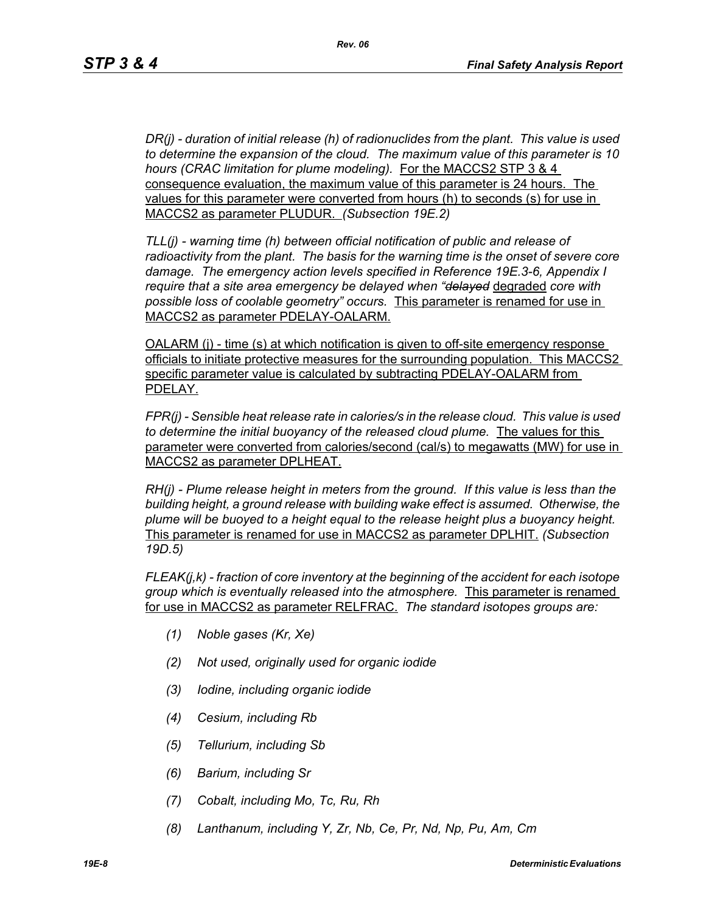*DR(j) - duration of initial release (h) of radionuclides from the plant. This value is used to determine the expansion of the cloud. The maximum value of this parameter is 10 hours (CRAC limitation for plume modeling).* For the MACCS2 STP 3 & 4 consequence evaluation, the maximum value of this parameter is 24 hours. The values for this parameter were converted from hours (h) to seconds (s) for use in MACCS2 as parameter PLUDUR. *(Subsection 19E.2)*

*TLL(j) - warning time (h) between official notification of public and release of radioactivity from the plant. The basis for the warning time is the onset of severe core damage. The emergency action levels specified in Reference 19E.3-6, Appendix I require that a site area emergency be delayed when "delayed* degraded *core with possible loss of coolable geometry" occurs.* This parameter is renamed for use in MACCS2 as parameter PDELAY-OALARM.

OALARM (j) - time (s) at which notification is given to off-site emergency response officials to initiate protective measures for the surrounding population. This MACCS2 specific parameter value is calculated by subtracting PDELAY-OALARM from PDELAY.

*FPR(j) - Sensible heat release rate in calories/s in the release cloud. This value is used to determine the initial buoyancy of the released cloud plume.* The values for this parameter were converted from calories/second (cal/s) to megawatts (MW) for use in MACCS2 as parameter DPLHEAT.

*RH(j) - Plume release height in meters from the ground. If this value is less than the building height, a ground release with building wake effect is assumed. Otherwise, the plume will be buoyed to a height equal to the release height plus a buoyancy height.*  This parameter is renamed for use in MACCS2 as parameter DPLHIT. *(Subsection 19D.5)*

*FLEAK(j,k) - fraction of core inventory at the beginning of the accident for each isotope group which is eventually released into the atmosphere.* This parameter is renamed for use in MACCS2 as parameter RELFRAC. *The standard isotopes groups are:*

- *(1) Noble gases (Kr, Xe)*
- *(2) Not used, originally used for organic iodide*
- *(3) Iodine, including organic iodide*
- *(4) Cesium, including Rb*
- *(5) Tellurium, including Sb*
- *(6) Barium, including Sr*
- *(7) Cobalt, including Mo, Tc, Ru, Rh*
- *(8) Lanthanum, including Y, Zr, Nb, Ce, Pr, Nd, Np, Pu, Am, Cm*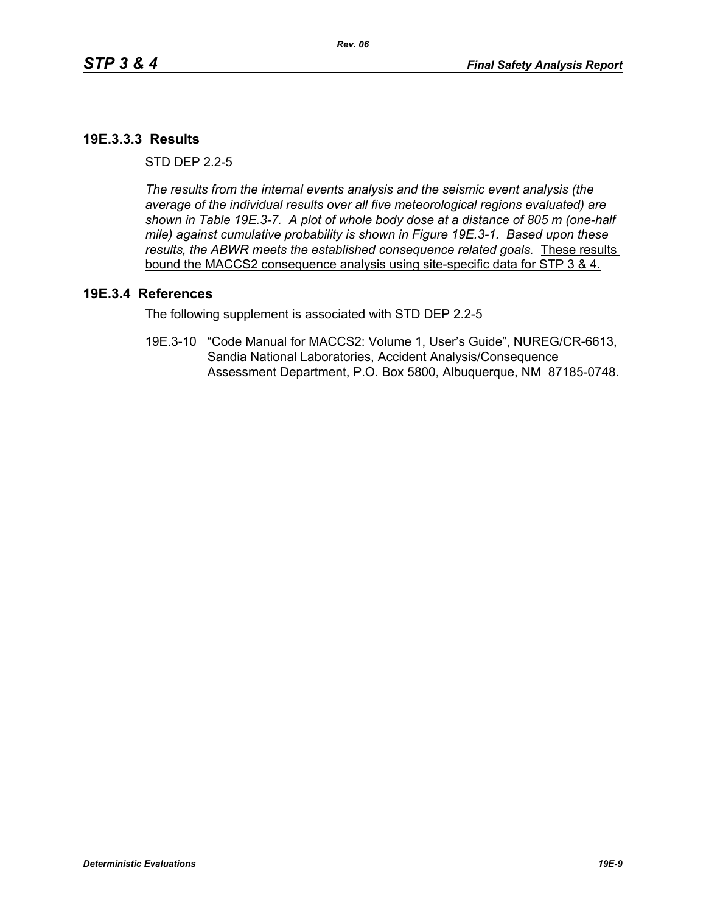### **19E.3.3.3 Results**

 $STD$  DFP  $2.2-5$ 

*The results from the internal events analysis and the seismic event analysis (the average of the individual results over all five meteorological regions evaluated) are shown in Table 19E.3-7. A plot of whole body dose at a distance of 805 m (one-half mile) against cumulative probability is shown in Figure 19E.3-1. Based upon these results, the ABWR meets the established consequence related goals.* These results bound the MACCS2 consequence analysis using site-specific data for STP 3 & 4.

#### **19E.3.4 References**

The following supplement is associated with STD DEP 2.2-5

19E.3-10 "Code Manual for MACCS2: Volume 1, User's Guide", NUREG/CR-6613, Sandia National Laboratories, Accident Analysis/Consequence Assessment Department, P.O. Box 5800, Albuquerque, NM 87185-0748.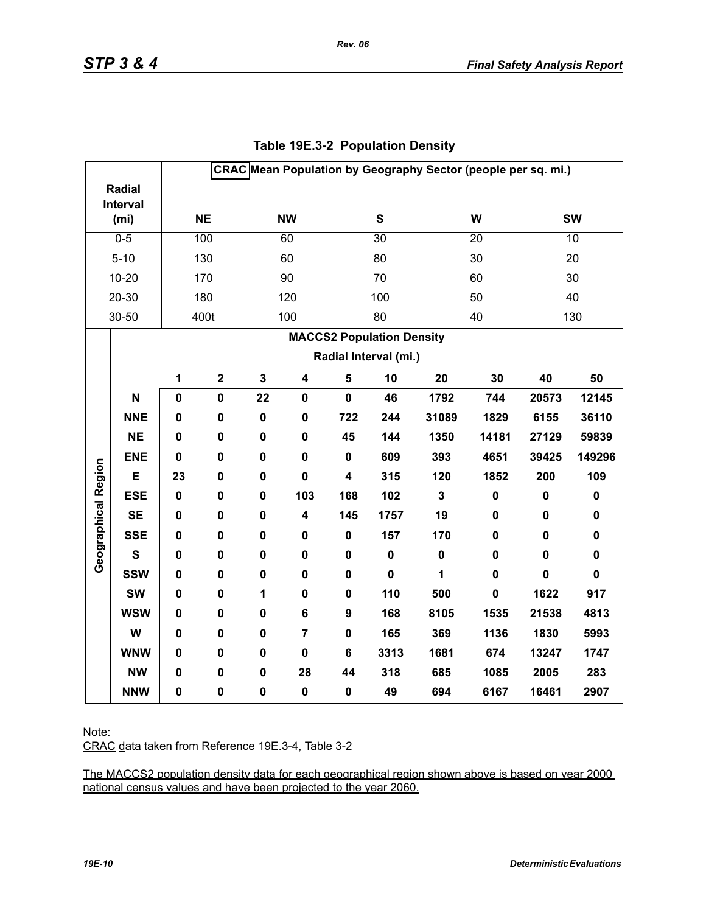|                     |                   |             |                         |                 |                         |                         |                                  |                         | CRAC Mean Population by Geography Sector (people per sq. mi.) |             |             |
|---------------------|-------------------|-------------|-------------------------|-----------------|-------------------------|-------------------------|----------------------------------|-------------------------|---------------------------------------------------------------|-------------|-------------|
|                     | <b>Radial</b>     |             |                         |                 |                         |                         |                                  |                         |                                                               |             |             |
|                     | Interval          |             | <b>NE</b>               |                 | <b>NW</b>               |                         | ${\bf S}$                        |                         | W                                                             |             | <b>SW</b>   |
|                     | (m <sub>i</sub> ) |             |                         |                 |                         |                         |                                  |                         |                                                               |             |             |
|                     | $0 - 5$           |             | 100                     |                 | 60                      |                         | $\overline{30}$                  |                         | 20                                                            |             | 10          |
|                     | $5 - 10$          |             | 130                     |                 | 60                      |                         | 80                               |                         | 30                                                            |             | 20          |
|                     | $10 - 20$         |             | 170                     |                 | 90                      |                         | 70                               |                         | 60                                                            |             | 30          |
|                     | 20-30             |             | 180                     |                 | 120                     |                         | 100                              |                         | 50                                                            |             | 40          |
|                     | 30-50             |             | 400t                    |                 | 100                     |                         | 80                               |                         | 40                                                            |             | 130         |
|                     |                   |             |                         |                 |                         |                         | <b>MACCS2 Population Density</b> |                         |                                                               |             |             |
|                     |                   |             |                         |                 |                         |                         | Radial Interval (mi.)            |                         |                                                               |             |             |
|                     |                   | 1           | $\mathbf 2$             | $\mathbf 3$     | $\overline{\mathbf{4}}$ | $\sqrt{5}$              | 10                               | 20                      | 30                                                            | 40          | 50          |
|                     | N                 | $\pmb{0}$   | $\overline{\mathbf{0}}$ | $\overline{22}$ | $\mathbf 0$             | $\overline{\mathbf{0}}$ | 46                               | 1792                    | 744                                                           | 20573       | 12145       |
|                     | <b>NNE</b>        | 0           | $\mathbf 0$             | $\mathbf 0$     | $\mathbf 0$             | 722                     | 244                              | 31089                   | 1829                                                          | 6155        | 36110       |
|                     | <b>NE</b>         | 0           | 0                       | $\pmb{0}$       | 0                       | 45                      | 144                              | 1350                    | 14181                                                         | 27129       | 59839       |
|                     | <b>ENE</b>        | $\mathbf 0$ | 0                       | $\mathbf 0$     | $\mathbf 0$             | $\mathbf 0$             | 609                              | 393                     | 4651                                                          | 39425       | 149296      |
| Geographical Region | E                 | 23          | 0                       | $\mathbf 0$     | $\mathbf 0$             | 4                       | 315                              | 120                     | 1852                                                          | 200         | 109         |
|                     | <b>ESE</b>        | $\mathbf 0$ | 0                       | $\mathbf 0$     | 103                     | 168                     | 102                              | $\overline{\mathbf{3}}$ | $\pmb{0}$                                                     | $\pmb{0}$   | $\pmb{0}$   |
|                     | <b>SE</b>         | $\mathbf 0$ | $\pmb{0}$               | $\pmb{0}$       | 4                       | 145                     | 1757                             | 19                      | 0                                                             | $\pmb{0}$   | $\pmb{0}$   |
|                     | <b>SSE</b>        | 0           | 0                       | $\mathbf 0$     | 0                       | $\mathbf 0$             | 157                              | 170                     | 0                                                             | 0           | $\pmb{0}$   |
|                     | $\mathbf{s}$      | 0           | 0                       | $\mathbf 0$     | 0                       | 0                       | $\pmb{0}$                        | $\mathbf 0$             | $\mathbf 0$                                                   | 0           | $\pmb{0}$   |
|                     | <b>SSW</b>        | 0           | 0                       | $\mathbf 0$     | 0                       | 0                       | $\mathbf 0$                      | 1                       | $\mathbf 0$                                                   | $\mathbf 0$ | $\mathbf 0$ |
|                     | <b>SW</b>         | 0           | $\mathbf 0$             | $\mathbf{1}$    | 0                       | $\mathbf 0$             | 110                              | 500                     | $\mathbf 0$                                                   | 1622        | 917         |
|                     | <b>WSW</b>        | 0           | 0                       | $\mathbf 0$     | 6                       | 9                       | 168                              | 8105                    | 1535                                                          | 21538       | 4813        |
|                     | W                 | 0           | 0                       | $\mathbf 0$     | $\overline{7}$          | 0                       | 165                              | 369                     | 1136                                                          | 1830        | 5993        |
|                     | <b>WNW</b>        | $\mathbf 0$ | 0                       | $\mathbf 0$     | $\mathbf 0$             | 6                       | 3313                             | 1681                    | 674                                                           | 13247       | 1747        |
|                     | <b>NW</b>         | 0           | 0                       | $\mathbf 0$     | 28                      | 44                      | 318                              | 685                     | 1085                                                          | 2005        | 283         |
|                     | <b>NNW</b>        | 0           | $\pmb{0}$               | $\pmb{0}$       | $\pmb{0}$               | 0                       | 49                               | 694                     | 6167                                                          | 16461       | 2907        |

# **Table 19E.3-2 Population Density**

*Rev. 06*

Note:

CRAC data taken from Reference 19E.3-4, Table 3-2

The MACCS2 population density data for each geographical region shown above is based on year 2000 national census values and have been projected to the year 2060.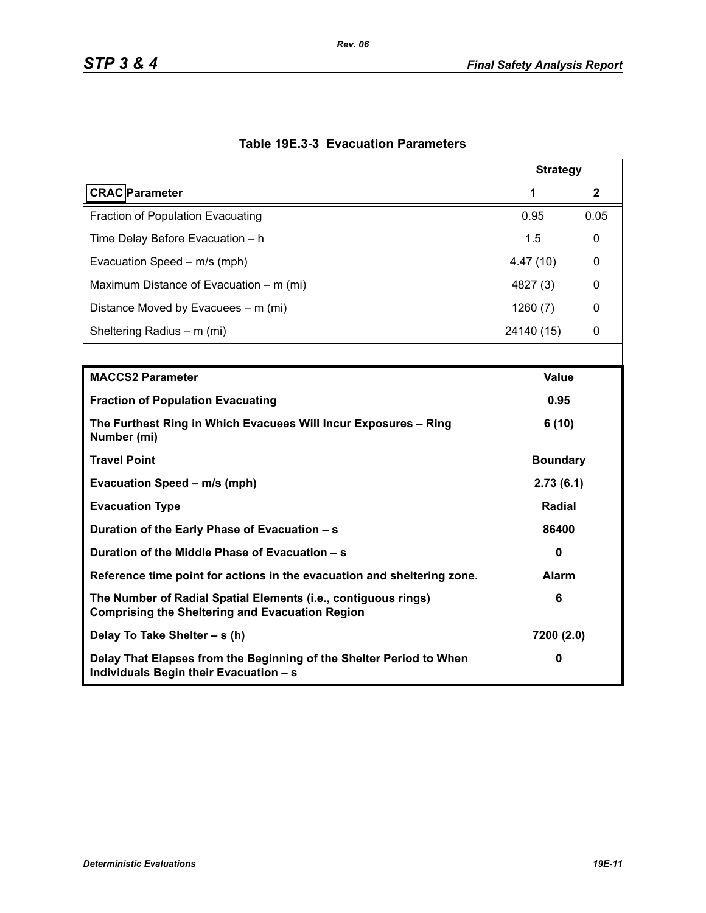|                                                                                                                          | <b>Strategy</b> |      |  |  |
|--------------------------------------------------------------------------------------------------------------------------|-----------------|------|--|--|
| <b>CRAC</b> Parameter                                                                                                    | 1               | 2    |  |  |
| <b>Fraction of Population Evacuating</b>                                                                                 | 0.95            | 0.05 |  |  |
| Time Delay Before Evacuation - h                                                                                         | 1.5             | 0    |  |  |
| Evacuation Speed - m/s (mph)                                                                                             | 4.47(10)        | 0    |  |  |
| Maximum Distance of Evacuation – m (mi)                                                                                  | 4827 (3)        | 0    |  |  |
| Distance Moved by Evacuees – m (mi)                                                                                      | 1260(7)         | 0    |  |  |
| Sheltering Radius - m (mi)                                                                                               | 24140 (15)      | 0    |  |  |
|                                                                                                                          |                 |      |  |  |
| <b>MACCS2 Parameter</b>                                                                                                  | <b>Value</b>    |      |  |  |
| <b>Fraction of Population Evacuating</b>                                                                                 | 0.95            |      |  |  |
| The Furthest Ring in Which Evacuees Will Incur Exposures - Ring<br>Number (mi)                                           | 6(10)           |      |  |  |
| <b>Travel Point</b>                                                                                                      | <b>Boundary</b> |      |  |  |
| Evacuation Speed - m/s (mph)                                                                                             | 2.73(6.1)       |      |  |  |
| <b>Evacuation Type</b>                                                                                                   | <b>Radial</b>   |      |  |  |
| Duration of the Early Phase of Evacuation - s                                                                            | 86400           |      |  |  |
| Duration of the Middle Phase of Evacuation - s                                                                           | $\mathbf{0}$    |      |  |  |
| Reference time point for actions in the evacuation and sheltering zone.                                                  | <b>Alarm</b>    |      |  |  |
| The Number of Radial Spatial Elements (i.e., contiguous rings)<br><b>Comprising the Sheltering and Evacuation Region</b> | 6               |      |  |  |
| Delay To Take Shelter - s (h)                                                                                            | 7200 (2.0)      |      |  |  |
| Delay That Elapses from the Beginning of the Shelter Period to When<br>Individuals Begin their Evacuation - s            | 0               |      |  |  |

# **Table 19E.3-3 Evacuation Parameters**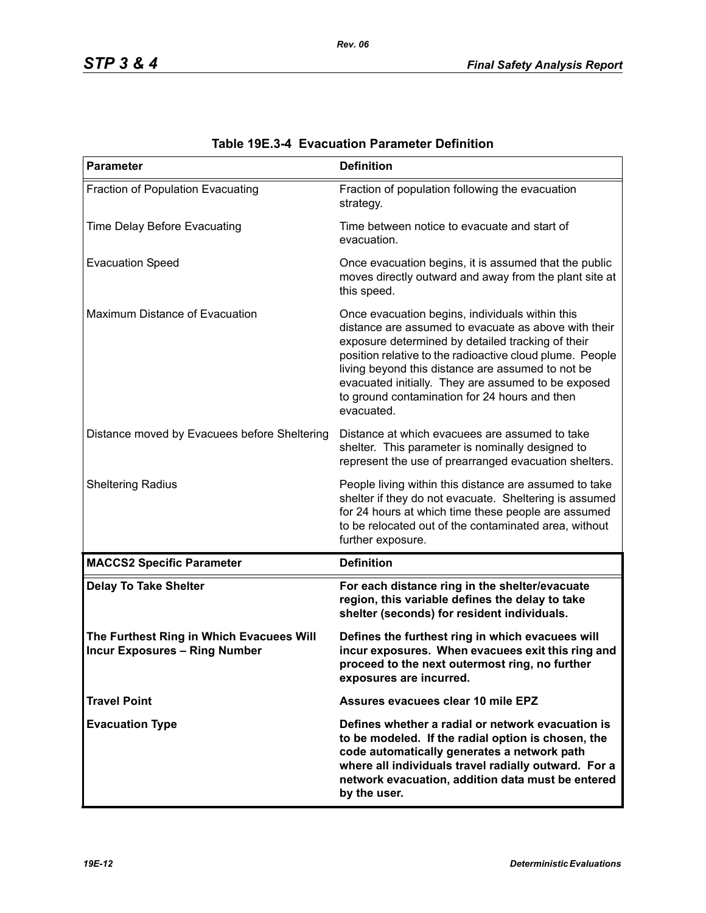| <b>Parameter</b>                                                                 | <b>Definition</b>                                                                                                                                                                                                                                                                                                                                                                                   |
|----------------------------------------------------------------------------------|-----------------------------------------------------------------------------------------------------------------------------------------------------------------------------------------------------------------------------------------------------------------------------------------------------------------------------------------------------------------------------------------------------|
| Fraction of Population Evacuating                                                | Fraction of population following the evacuation<br>strategy.                                                                                                                                                                                                                                                                                                                                        |
| Time Delay Before Evacuating                                                     | Time between notice to evacuate and start of<br>evacuation.                                                                                                                                                                                                                                                                                                                                         |
| <b>Evacuation Speed</b>                                                          | Once evacuation begins, it is assumed that the public<br>moves directly outward and away from the plant site at<br>this speed.                                                                                                                                                                                                                                                                      |
| Maximum Distance of Evacuation                                                   | Once evacuation begins, individuals within this<br>distance are assumed to evacuate as above with their<br>exposure determined by detailed tracking of their<br>position relative to the radioactive cloud plume. People<br>living beyond this distance are assumed to not be<br>evacuated initially. They are assumed to be exposed<br>to ground contamination for 24 hours and then<br>evacuated. |
| Distance moved by Evacuees before Sheltering                                     | Distance at which evacuees are assumed to take<br>shelter. This parameter is nominally designed to<br>represent the use of prearranged evacuation shelters.                                                                                                                                                                                                                                         |
| <b>Sheltering Radius</b>                                                         | People living within this distance are assumed to take<br>shelter if they do not evacuate. Sheltering is assumed<br>for 24 hours at which time these people are assumed<br>to be relocated out of the contaminated area, without<br>further exposure.                                                                                                                                               |
| <b>MACCS2 Specific Parameter</b>                                                 | <b>Definition</b>                                                                                                                                                                                                                                                                                                                                                                                   |
| <b>Delay To Take Shelter</b>                                                     | For each distance ring in the shelter/evacuate<br>region, this variable defines the delay to take<br>shelter (seconds) for resident individuals.                                                                                                                                                                                                                                                    |
| The Furthest Ring in Which Evacuees Will<br><b>Incur Exposures - Ring Number</b> | Defines the furthest ring in which evacuees will<br>incur exposures. When evacuees exit this ring and<br>proceed to the next outermost ring, no further<br>exposures are incurred.                                                                                                                                                                                                                  |
| <b>Travel Point</b>                                                              | Assures evacuees clear 10 mile EPZ                                                                                                                                                                                                                                                                                                                                                                  |
| <b>Evacuation Type</b>                                                           | Defines whether a radial or network evacuation is<br>to be modeled. If the radial option is chosen, the<br>code automatically generates a network path<br>where all individuals travel radially outward. For a<br>network evacuation, addition data must be entered<br>by the user.                                                                                                                 |

| Table 19E.3-4 Evacuation Parameter Definition |  |  |  |
|-----------------------------------------------|--|--|--|
|-----------------------------------------------|--|--|--|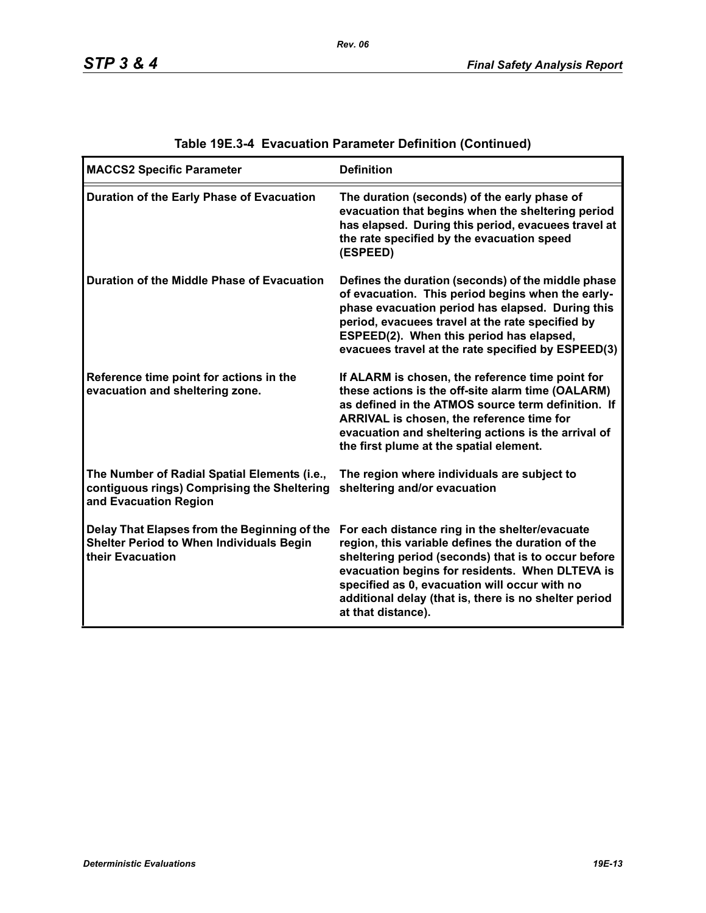| <b>MACCS2 Specific Parameter</b>                                                                                     | <b>Definition</b>                                                                                                                                                                                                                                                                                                                             |
|----------------------------------------------------------------------------------------------------------------------|-----------------------------------------------------------------------------------------------------------------------------------------------------------------------------------------------------------------------------------------------------------------------------------------------------------------------------------------------|
| Duration of the Early Phase of Evacuation                                                                            | The duration (seconds) of the early phase of<br>evacuation that begins when the sheltering period<br>has elapsed. During this period, evacuees travel at<br>the rate specified by the evacuation speed<br>(ESPEED)                                                                                                                            |
| Duration of the Middle Phase of Evacuation                                                                           | Defines the duration (seconds) of the middle phase<br>of evacuation. This period begins when the early-<br>phase evacuation period has elapsed. During this<br>period, evacuees travel at the rate specified by<br>ESPEED(2). When this period has elapsed,<br>evacuees travel at the rate specified by ESPEED(3)                             |
| Reference time point for actions in the<br>evacuation and sheltering zone.                                           | If ALARM is chosen, the reference time point for<br>these actions is the off-site alarm time (OALARM)<br>as defined in the ATMOS source term definition. If<br>ARRIVAL is chosen, the reference time for<br>evacuation and sheltering actions is the arrival of<br>the first plume at the spatial element.                                    |
| The Number of Radial Spatial Elements (i.e.,<br>contiguous rings) Comprising the Sheltering<br>and Evacuation Region | The region where individuals are subject to<br>sheltering and/or evacuation                                                                                                                                                                                                                                                                   |
| Delay That Elapses from the Beginning of the<br><b>Shelter Period to When Individuals Begin</b><br>their Evacuation  | For each distance ring in the shelter/evacuate<br>region, this variable defines the duration of the<br>sheltering period (seconds) that is to occur before<br>evacuation begins for residents. When DLTEVA is<br>specified as 0, evacuation will occur with no<br>additional delay (that is, there is no shelter period<br>at that distance). |

# **Table 19E.3-4 Evacuation Parameter Definition (Continued)**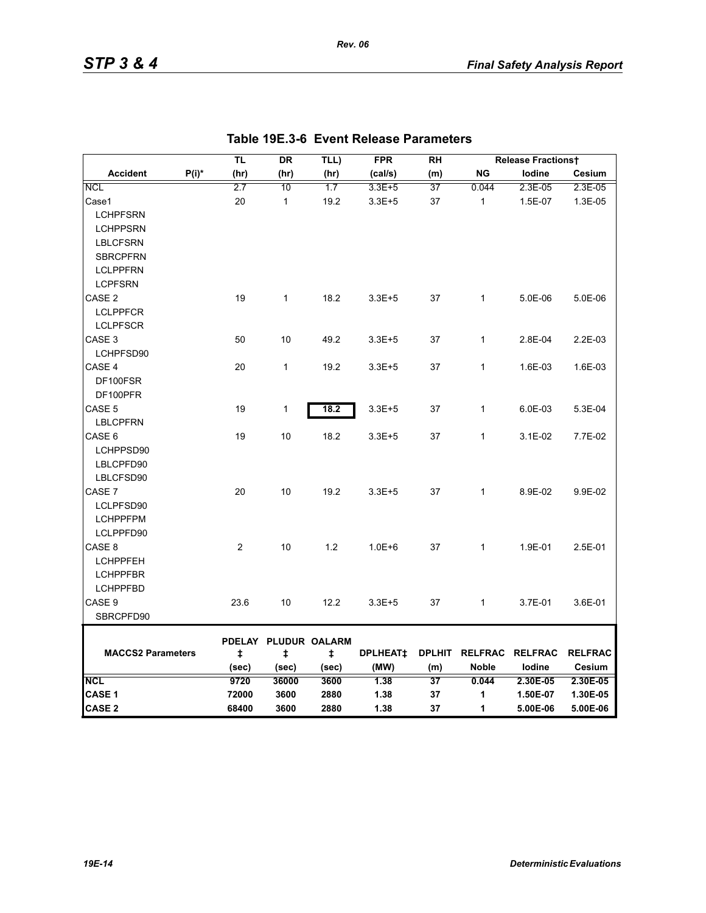|                          |          | TL         | <b>DR</b>                 | TLL)  | <b>FPR</b>      | <b>RH</b>     |              | <b>Release Fractionst</b> |                |
|--------------------------|----------|------------|---------------------------|-------|-----------------|---------------|--------------|---------------------------|----------------|
| <b>Accident</b>          | $P(i)^*$ | (hr)       | (hr)                      | (hr)  | (cal/s)         | (m)           | <b>NG</b>    | lodine                    | Cesium         |
| <b>NCL</b>               |          | 2.7        | 10                        | 1.7   | 3.3E+5          | 37            | 0.044        | 2.3E-05                   | 2.3E-05        |
| Case1                    |          | 20         | $\mathbf{1}$              | 19.2  | $3.3E + 5$      | 37            | $\mathbf{1}$ | 1.5E-07                   | 1.3E-05        |
| <b>LCHPFSRN</b>          |          |            |                           |       |                 |               |              |                           |                |
| <b>LCHPPSRN</b>          |          |            |                           |       |                 |               |              |                           |                |
| <b>LBLCFSRN</b>          |          |            |                           |       |                 |               |              |                           |                |
| <b>SBRCPFRN</b>          |          |            |                           |       |                 |               |              |                           |                |
| <b>LCLPPFRN</b>          |          |            |                           |       |                 |               |              |                           |                |
| <b>LCPFSRN</b>           |          |            |                           |       |                 |               |              |                           |                |
| CASE <sub>2</sub>        |          | 19         | $\mathbf{1}$              | 18.2  | $3.3E + 5$      | 37            | 1            | 5.0E-06                   | 5.0E-06        |
| <b>LCLPPFCR</b>          |          |            |                           |       |                 |               |              |                           |                |
| <b>LCLPFSCR</b>          |          |            |                           |       |                 |               |              |                           |                |
| CASE <sub>3</sub>        |          | 50         | 10                        | 49.2  | $3.3E + 5$      | 37            | $\mathbf{1}$ | 2.8E-04                   | 2.2E-03        |
| LCHPFSD90                |          |            |                           |       |                 |               |              |                           |                |
| CASE 4                   |          | 20         | $\mathbf{1}$              | 19.2  | $3.3E + 5$      | 37            | $\mathbf{1}$ | 1.6E-03                   | 1.6E-03        |
| DF100FSR                 |          |            |                           |       |                 |               |              |                           |                |
| DF100PFR                 |          |            |                           |       |                 |               |              |                           |                |
| CASE <sub>5</sub>        |          | 19         | 1                         | 18.2  | $3.3E + 5$      | 37            | $\mathbf{1}$ | 6.0E-03                   | 5.3E-04        |
| <b>LBLCPFRN</b>          |          |            |                           |       |                 |               |              |                           |                |
| CASE 6                   |          | 19         | 10                        | 18.2  | $3.3E + 5$      | 37            | 1            | 3.1E-02                   | 7.7E-02        |
| LCHPPSD90                |          |            |                           |       |                 |               |              |                           |                |
| LBLCPFD90                |          |            |                           |       |                 |               |              |                           |                |
| LBLCFSD90                |          |            |                           |       |                 |               |              |                           |                |
| CASE 7                   |          | 20         | 10                        | 19.2  | $3.3E + 5$      | 37            | $\mathbf{1}$ | 8.9E-02                   | 9.9E-02        |
| LCLPFSD90                |          |            |                           |       |                 |               |              |                           |                |
| <b>LCHPPFPM</b>          |          |            |                           |       |                 |               |              |                           |                |
| LCLPPFD90                |          |            |                           |       |                 |               |              |                           |                |
| CASE 8                   |          | 2          | 10                        | 1.2   | $1.0E + 6$      | 37            | $\mathbf{1}$ | 1.9E-01                   | 2.5E-01        |
| <b>LCHPPFEH</b>          |          |            |                           |       |                 |               |              |                           |                |
| <b>LCHPPFBR</b>          |          |            |                           |       |                 |               |              |                           |                |
| <b>LCHPPFBD</b>          |          |            |                           |       |                 |               |              |                           |                |
| CASE 9                   |          | 23.6       | 10                        | 12.2  | $3.3E + 5$      | 37            | $\mathbf{1}$ | 3.7E-01                   | 3.6E-01        |
| SBRCPFD90                |          |            |                           |       |                 |               |              |                           |                |
|                          |          |            |                           |       |                 |               |              |                           |                |
| <b>MACCS2 Parameters</b> |          | $\ddagger$ | PDELAY PLUDUR OALARM<br>ŧ | ŧ     | <b>DPLHEAT‡</b> | <b>DPLHIT</b> |              | RELFRAC RELFRAC           | <b>RELFRAC</b> |
|                          |          | (sec)      | (sec)                     | (sec) | (MW)            | (m)           | <b>Noble</b> | lodine                    | Cesium         |
| <b>NCL</b>               |          | 9720       | 36000                     | 3600  | 1.38            | 37            | 0.044        | 2.30E-05                  | 2.30E-05       |
| CASE 1                   |          | 72000      | 3600                      | 2880  | 1.38            | 37            | 1            | 1.50E-07                  | 1.30E-05       |
| <b>CASE 2</b>            |          | 68400      | 3600                      | 2880  | 1.38            | 37            | 1            | 5.00E-06                  | 5.00E-06       |

*Rev. 06*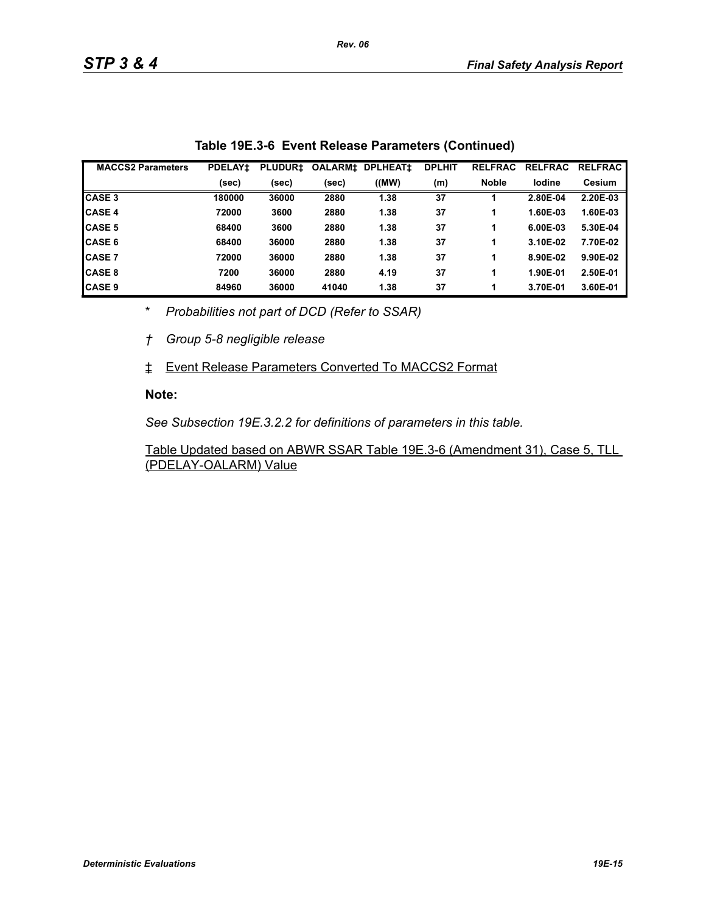| <b>MACCS2 Parameters</b> | <b>PDELAY1</b> | <b>PLUDUR1</b> | <b>OALARM‡</b> | <b>DPLHEAT1</b> | <b>DPLHIT</b> | <b>RELFRAC</b> | <b>RELFRAC</b> | <b>RELFRAC</b> |
|--------------------------|----------------|----------------|----------------|-----------------|---------------|----------------|----------------|----------------|
|                          | (sec)          | (sec)          | (sec)          | ((MW)           | (m)           | <b>Noble</b>   | lodine         | <b>Cesium</b>  |
| <b>CASE 3</b>            | 180000         | 36000          | 2880           | 1.38            | 37            |                | 2.80E-04       | 2.20E-03       |
| <b>CASE 4</b>            | 72000          | 3600           | 2880           | 1.38            | 37            |                | 1.60E-03       | 1.60E-03       |
| <b>CASE 5</b>            | 68400          | 3600           | 2880           | 1.38            | 37            |                | 6.00E-03       | 5.30E-04       |
| <b>CASE 6</b>            | 68400          | 36000          | 2880           | 1.38            | 37            |                | 3.10E-02       | 7.70E-02       |
| <b>CASE 7</b>            | 72000          | 36000          | 2880           | 1.38            | 37            | 1              | 8.90E-02       | 9.90E-02       |
| <b>CASE 8</b>            | 7200           | 36000          | 2880           | 4.19            | 37            |                | 1.90E-01       | 2.50E-01       |
| <b>CASE 9</b>            | 84960          | 36000          | 41040          | 1.38            | 37            |                | 3.70E-01       | 3.60E-01       |

\* *Probabilities not part of DCD (Refer to SSAR)*

*† Group 5-8 negligible release*

‡ Event Release Parameters Converted To MACCS2 Format

#### **Note:**

*See Subsection 19E.3.2.2 for definitions of parameters in this table.*

Table Updated based on ABWR SSAR Table 19E.3-6 (Amendment 31), Case 5, TLL (PDELAY-OALARM) Value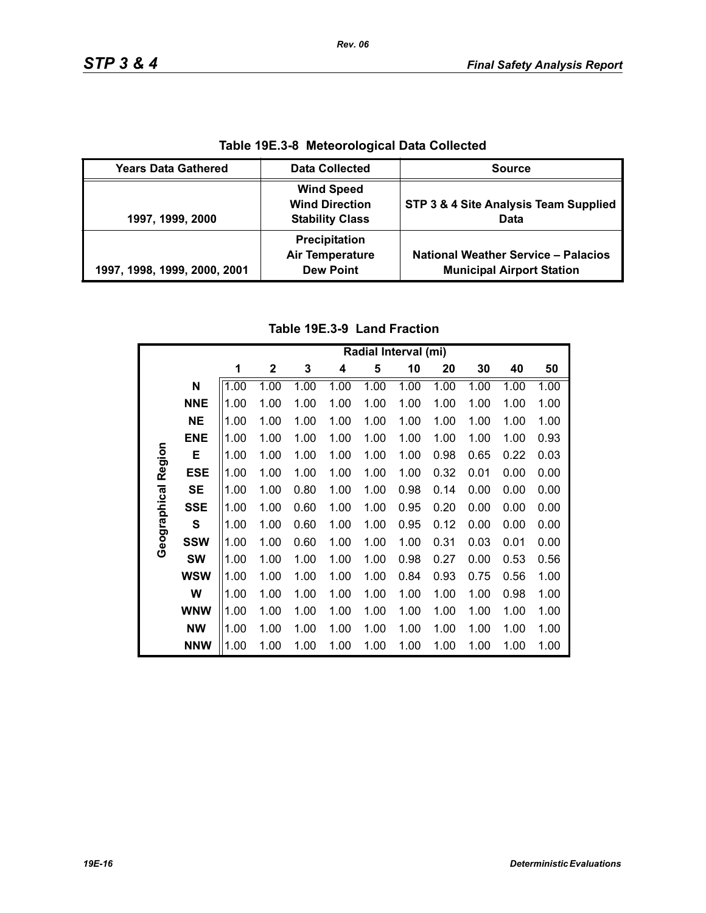| Table 19E.3-8 Meteorological Data Collected |                                                                      |                                                                                |  |  |  |
|---------------------------------------------|----------------------------------------------------------------------|--------------------------------------------------------------------------------|--|--|--|
| <b>Years Data Gathered</b>                  | <b>Data Collected</b>                                                | <b>Source</b>                                                                  |  |  |  |
| 1997, 1999, 2000                            | <b>Wind Speed</b><br><b>Wind Direction</b><br><b>Stability Class</b> | STP 3 & 4 Site Analysis Team Supplied<br>Data                                  |  |  |  |
| 1997, 1998, 1999, 2000, 2001                | Precipitation<br><b>Air Temperature</b><br><b>Dew Point</b>          | <b>National Weather Service - Palacios</b><br><b>Municipal Airport Station</b> |  |  |  |

**Table 19E.3-8 Meteorological Data Collected**

# **Table 19E.3-9 Land Fraction**

|              |              | Radial Interval (mi) |              |      |      |      |      |      |      |      |      |
|--------------|--------------|----------------------|--------------|------|------|------|------|------|------|------|------|
|              |              | 1                    | $\mathbf{2}$ | 3    | 4    | 5    | 10   | 20   | 30   | 40   | 50   |
|              | N            | 1.00                 | 1.00         | 1.00 | 1.00 | 1.00 | 1.00 | 1.00 | 1.00 | 1.00 | 1.00 |
|              | <b>NNE</b>   | 1.00                 | 1.00         | 1.00 | 1.00 | 1.00 | 1.00 | 1.00 | 1.00 | 1.00 | 1.00 |
|              | <b>NE</b>    | 1.00                 | 1.00         | 1.00 | 1.00 | 1.00 | 1.00 | 1.00 | 1.00 | 1.00 | 1.00 |
|              | <b>ENE</b>   | 1.00                 | 1.00         | 1.00 | 1.00 | 1.00 | 1.00 | 1.00 | 1.00 | 1.00 | 0.93 |
|              | Е            | 1.00                 | 1.00         | 1.00 | 1.00 | 1.00 | 1.00 | 0.98 | 0.65 | 0.22 | 0.03 |
| Region       | <b>ESE</b>   | 1.00                 | 1.00         | 1.00 | 1.00 | 1.00 | 1.00 | 0.32 | 0.01 | 0.00 | 0.00 |
|              | <b>SE</b>    | 1.00                 | 1.00         | 0.80 | 1.00 | 1.00 | 0.98 | 0.14 | 0.00 | 0.00 | 0.00 |
| Geographical | <b>SSE</b>   | 1.00                 | 1.00         | 0.60 | 1.00 | 1.00 | 0.95 | 0.20 | 0.00 | 0.00 | 0.00 |
|              | $\mathbf{s}$ | 1.00                 | 1.00         | 0.60 | 1.00 | 1.00 | 0.95 | 0.12 | 0.00 | 0.00 | 0.00 |
|              | <b>SSW</b>   | 1.00                 | 1.00         | 0.60 | 1.00 | 1.00 | 1.00 | 0.31 | 0.03 | 0.01 | 0.00 |
|              | <b>SW</b>    | 1.00                 | 1.00         | 1.00 | 1.00 | 1.00 | 0.98 | 0.27 | 0.00 | 0.53 | 0.56 |
|              | <b>WSW</b>   | 1.00                 | 1.00         | 1.00 | 1.00 | 1.00 | 0.84 | 0.93 | 0.75 | 0.56 | 1.00 |
|              | W            | 1.00                 | 1.00         | 1.00 | 1.00 | 1.00 | 1.00 | 1.00 | 1.00 | 0.98 | 1.00 |
|              | <b>WNW</b>   | 1.00                 | 1.00         | 1.00 | 1.00 | 1.00 | 1.00 | 1.00 | 1.00 | 1.00 | 1.00 |
|              | <b>NW</b>    | 1.00                 | 1.00         | 1.00 | 1.00 | 1.00 | 1.00 | 1.00 | 1.00 | 1.00 | 1.00 |
|              | <b>NNW</b>   | 1.00                 | 1.00         | 1.00 | 1.00 | 1.00 | 1.00 | 1.00 | 1.00 | 1.00 | 1.00 |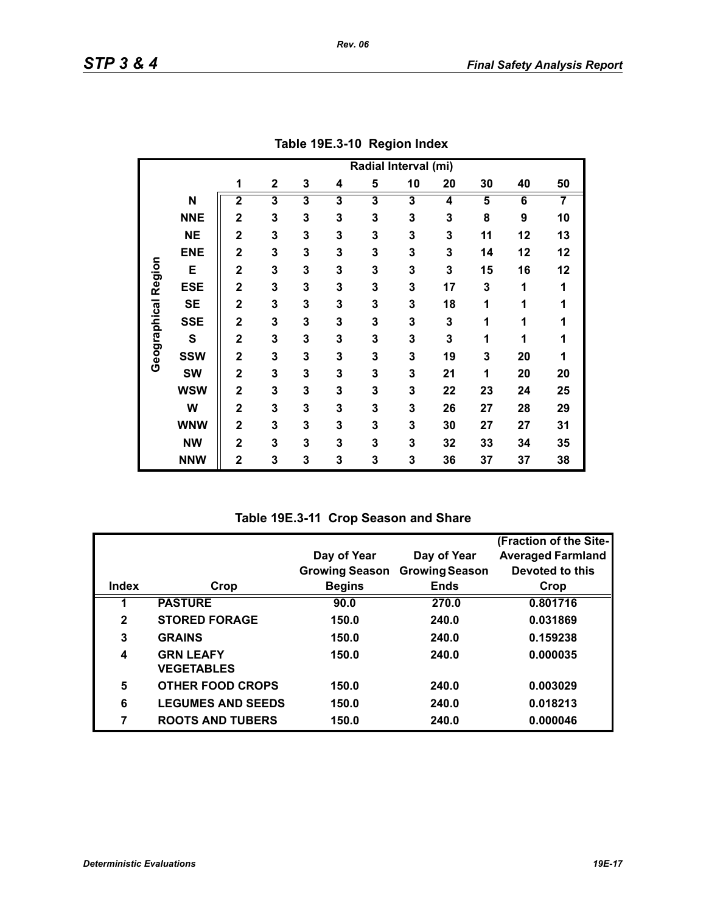|                     |            | Radial Interval (mi)    |                         |                         |                         |                         |    |                         |    |    |    |
|---------------------|------------|-------------------------|-------------------------|-------------------------|-------------------------|-------------------------|----|-------------------------|----|----|----|
|                     |            | 1                       | $\mathbf{2}$            | 3                       | 4                       | 5                       | 10 | 20                      | 30 | 40 | 50 |
|                     | N          | $\overline{\mathbf{2}}$ | $\overline{\mathbf{3}}$ | $\overline{\mathbf{3}}$ | $\overline{\mathbf{3}}$ | $\overline{\mathbf{3}}$ | 3  | $\overline{\mathbf{4}}$ | 5  | 6  | 7  |
|                     | <b>NNE</b> | $\overline{2}$          | 3                       | 3                       | 3                       | 3                       | 3  | 3                       | 8  | 9  | 10 |
|                     | <b>NE</b>  | $\overline{2}$          | 3                       | 3                       | 3                       | 3                       | 3  | 3                       | 11 | 12 | 13 |
|                     | <b>ENE</b> | $\overline{2}$          | 3                       | 3                       | 3                       | 3                       | 3  | 3                       | 14 | 12 | 12 |
|                     | E          | $\overline{2}$          | 3                       | 3                       | 3                       | 3                       | 3  | 3                       | 15 | 16 | 12 |
| Geographical Region | <b>ESE</b> | $\overline{\mathbf{2}}$ | 3                       | 3                       | 3                       | 3                       | 3  | 17                      | 3  | 1  | 1  |
|                     | <b>SE</b>  | $\overline{\mathbf{2}}$ | 3                       | 3                       | 3                       | 3                       | 3  | 18                      | 1  | 1  | 1  |
|                     | <b>SSE</b> | $\overline{2}$          | 3                       | 3                       | 3                       | 3                       | 3  | 3                       | 1  | 1  | 1  |
|                     | ${\bf S}$  | $\overline{2}$          | 3                       | 3                       | 3                       | 3                       | 3  | 3                       | 1  | 1  | 1  |
|                     | <b>SSW</b> | $\overline{2}$          | 3                       | 3                       | 3                       | 3                       | 3  | 19                      | 3  | 20 | 1  |
|                     | <b>SW</b>  | $\overline{2}$          | 3                       | 3                       | 3                       | 3                       | 3  | 21                      | 1  | 20 | 20 |
|                     | <b>WSW</b> | $\overline{2}$          | 3                       | 3                       | 3                       | 3                       | 3  | 22                      | 23 | 24 | 25 |
|                     | W          | $\overline{\mathbf{2}}$ | 3                       | 3                       | 3                       | 3                       | 3  | 26                      | 27 | 28 | 29 |
|                     | <b>WNW</b> | $\mathbf{2}$            | 3                       | 3                       | 3                       | 3                       | 3  | 30                      | 27 | 27 | 31 |
|                     | <b>NW</b>  | $\overline{\mathbf{2}}$ | 3                       | 3                       | 3                       | 3                       | 3  | 32                      | 33 | 34 | 35 |
|                     | <b>NNW</b> | $\overline{2}$          | 3                       | 3                       | 3                       | 3                       | 3  | 36                      | 37 | 37 | 38 |

**Table 19E.3-10 Region Index**

| Table 19E.3-11 Crop Season and Share |  |  |  |  |
|--------------------------------------|--|--|--|--|
|--------------------------------------|--|--|--|--|

|              |                          |                       |                       | (Fraction of the Site-   |
|--------------|--------------------------|-----------------------|-----------------------|--------------------------|
|              |                          | Day of Year           | Day of Year           | <b>Averaged Farmland</b> |
|              |                          | <b>Growing Season</b> | <b>Growing Season</b> | Devoted to this          |
| <b>Index</b> | Crop                     | <b>Begins</b>         | <b>Ends</b>           | Crop                     |
|              | <b>PASTURE</b>           | 90.0                  | 270.0                 | 0.801716                 |
| $\mathbf{2}$ | <b>STORED FORAGE</b>     | 150.0                 | 240.0                 | 0.031869                 |
| 3            | <b>GRAINS</b>            | 150.0                 | 240.0                 | 0.159238                 |
| 4            | <b>GRN LEAFY</b>         | 150.0                 | 240.0                 | 0.000035                 |
|              | <b>VEGETABLES</b>        |                       |                       |                          |
| 5            | <b>OTHER FOOD CROPS</b>  | 150.0                 | 240.0                 | 0.003029                 |
| 6            | <b>LEGUMES AND SEEDS</b> | 150.0                 | 240.0                 | 0.018213                 |
| 7            | <b>ROOTS AND TUBERS</b>  | 150.0                 | 240.0                 | 0.000046                 |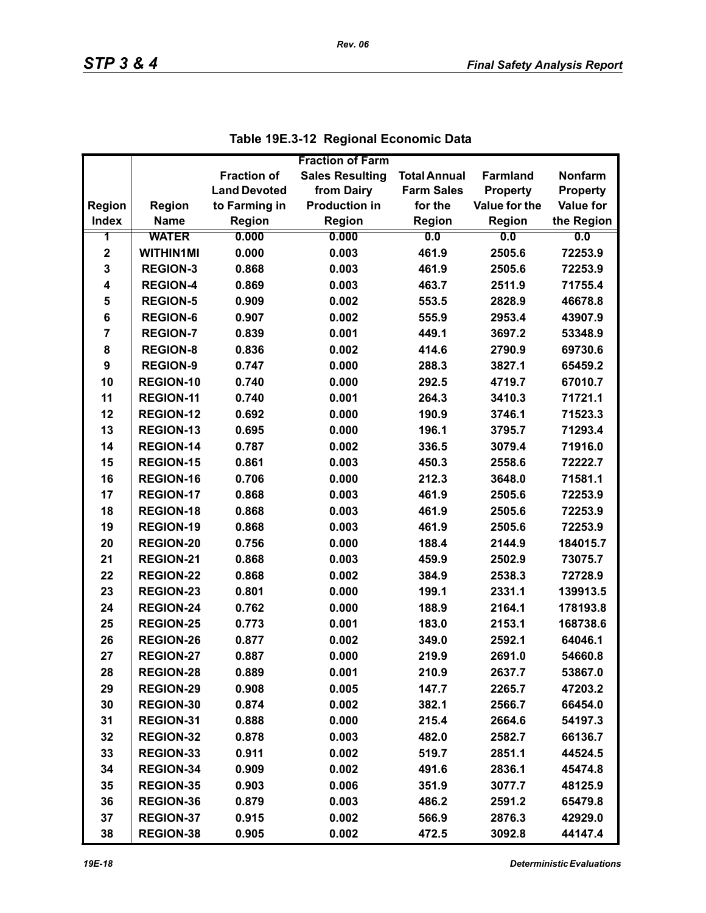|                |                  |                     | <b>Fraction of Farm</b> |                     |                 |                  |
|----------------|------------------|---------------------|-------------------------|---------------------|-----------------|------------------|
|                |                  | <b>Fraction of</b>  | <b>Sales Resulting</b>  | <b>Total Annual</b> | <b>Farmland</b> | <b>Nonfarm</b>   |
|                |                  | <b>Land Devoted</b> | from Dairy              | <b>Farm Sales</b>   | <b>Property</b> | <b>Property</b>  |
| Region         | Region           | to Farming in       | <b>Production in</b>    | for the             | Value for the   | <b>Value for</b> |
| <b>Index</b>   | <b>Name</b>      | <b>Region</b>       | Region                  | <b>Region</b>       | <b>Region</b>   | the Region       |
| 1              | <b>WATER</b>     | 0.000               | 0.000                   | 0.0                 | 0.0             | 0.0              |
| $\mathbf 2$    | <b>WITHIN1MI</b> | 0.000               | 0.003                   | 461.9               | 2505.6          | 72253.9          |
| 3              | <b>REGION-3</b>  | 0.868               | 0.003                   | 461.9               | 2505.6          | 72253.9          |
| 4              | <b>REGION-4</b>  | 0.869               | 0.003                   | 463.7               | 2511.9          | 71755.4          |
| 5              | <b>REGION-5</b>  | 0.909               | 0.002                   | 553.5               | 2828.9          | 46678.8          |
| 6              | <b>REGION-6</b>  | 0.907               | 0.002                   | 555.9               | 2953.4          | 43907.9          |
| $\overline{7}$ | <b>REGION-7</b>  | 0.839               | 0.001                   | 449.1               | 3697.2          | 53348.9          |
| 8              | <b>REGION-8</b>  | 0.836               | 0.002                   | 414.6               | 2790.9          | 69730.6          |
| 9              | <b>REGION-9</b>  | 0.747               | 0.000                   | 288.3               | 3827.1          | 65459.2          |
| 10             | <b>REGION-10</b> | 0.740               | 0.000                   | 292.5               | 4719.7          | 67010.7          |
| 11             | <b>REGION-11</b> | 0.740               | 0.001                   | 264.3               | 3410.3          | 71721.1          |
| 12             | <b>REGION-12</b> | 0.692               | 0.000                   | 190.9               | 3746.1          | 71523.3          |
| 13             | <b>REGION-13</b> | 0.695               | 0.000                   | 196.1               | 3795.7          | 71293.4          |
| 14             | <b>REGION-14</b> | 0.787               | 0.002                   | 336.5               | 3079.4          | 71916.0          |
| 15             | <b>REGION-15</b> | 0.861               | 0.003                   | 450.3               | 2558.6          | 72222.7          |
| 16             | <b>REGION-16</b> | 0.706               | 0.000                   | 212.3               | 3648.0          | 71581.1          |
| 17             | <b>REGION-17</b> | 0.868               | 0.003                   | 461.9               | 2505.6          | 72253.9          |
| 18             | <b>REGION-18</b> | 0.868               | 0.003                   | 461.9               | 2505.6          | 72253.9          |
| 19             | <b>REGION-19</b> | 0.868               | 0.003                   | 461.9               | 2505.6          | 72253.9          |
| 20             | <b>REGION-20</b> | 0.756               | 0.000                   | 188.4               | 2144.9          | 184015.7         |
| 21             | REGION-21        | 0.868               | 0.003                   | 459.9               | 2502.9          | 73075.7          |
| 22             | <b>REGION-22</b> | 0.868               | 0.002                   | 384.9               | 2538.3          | 72728.9          |
| 23             | <b>REGION-23</b> | 0.801               | 0.000                   | 199.1               | 2331.1          | 139913.5         |
| 24             | <b>REGION-24</b> | 0.762               | 0.000                   | 188.9               | 2164.1          | 178193.8         |
| 25             | <b>REGION-25</b> | 0.773               | 0.001                   | 183.0               | 2153.1          | 168738.6         |
| 26             | <b>REGION-26</b> | 0.877               | 0.002                   | 349.0               | 2592.1          | 64046.1          |
| 27             | <b>REGION-27</b> | 0.887               | 0.000                   | 219.9               | 2691.0          | 54660.8          |
| 28             | <b>REGION-28</b> | 0.889               | 0.001                   | 210.9               | 2637.7          | 53867.0          |
| 29             | <b>REGION-29</b> | 0.908               | 0.005                   | 147.7               | 2265.7          | 47203.2          |
| 30             | REGION-30        | 0.874               | 0.002                   | 382.1               | 2566.7          | 66454.0          |
| 31             | REGION-31        | 0.888               | 0.000                   | 215.4               | 2664.6          | 54197.3          |
| 32             | <b>REGION-32</b> | 0.878               | 0.003                   | 482.0               | 2582.7          | 66136.7          |
| 33             | REGION-33        | 0.911               | 0.002                   | 519.7               | 2851.1          | 44524.5          |
| 34             | REGION-34        | 0.909               | 0.002                   | 491.6               | 2836.1          | 45474.8          |
| 35             | <b>REGION-35</b> | 0.903               | 0.006                   | 351.9               | 3077.7          | 48125.9          |
| 36             | REGION-36        | 0.879               | 0.003                   | 486.2               | 2591.2          | 65479.8          |
| 37             | <b>REGION-37</b> | 0.915               | 0.002                   | 566.9               | 2876.3          | 42929.0          |
| 38             | <b>REGION-38</b> | 0.905               | 0.002                   | 472.5               | 3092.8          | 44147.4          |

|  | Table 19E.3-12 Regional Economic Data |
|--|---------------------------------------|
|--|---------------------------------------|

*Rev. 06*